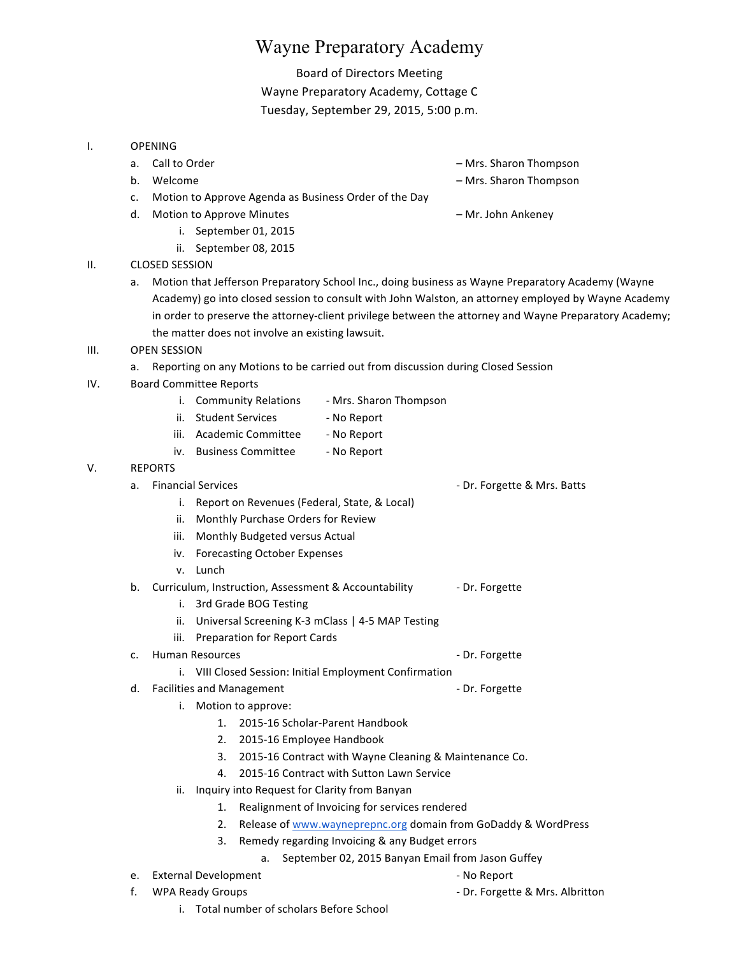# Wayne Preparatory Academy

## Board of Directors Meeting

Wayne Preparatory Academy, Cottage C Tuesday, September 29, 2015, 5:00 p.m.

#### I. OPENING

- 
- 

a. Call to Order and the control of the control of the control of the control of the control of the control of the control of the control of the control of the control of the control of the control of the control of the co

- b. Welcome **b.** Welcome **and the state of the state of the state of the Mrs. Sharon Thompson**
- c. Motion to Approve Agenda as Business Order of the Day
- d. Motion to Approve Minutes **Example 20 and Ankeney** American Motion Ankeney
	- i. September 01, 2015
	- ii. September 08, 2015

### II. CLOSED SESSION

a. Motion that Jefferson Preparatory School Inc., doing business as Wayne Preparatory Academy (Wayne Academy) go into closed session to consult with John Walston, an attorney employed by Wayne Academy in order to preserve the attorney-client privilege between the attorney and Wayne Preparatory Academy; the matter does not involve an existing lawsuit.

#### III. OPEN SESSION

- a. Reporting on any Motions to be carried out from discussion during Closed Session
- IV. Board Committee Reports

|  | <b>Community Relations</b> | - Mrs. Sharon Thompson |
|--|----------------------------|------------------------|
|--|----------------------------|------------------------|

- ii. Student Services No Report
- iii. Academic Committee No Report
- iv. Business Committee No Report

#### V. REPORTS

## a. Financial Services **According to the Contract Contract Contract Contract Contract Contract Contract Contract Contract Contract Contract Contract Contract Contract Contract Contract Contract Contract Contract Contract Co**

- i. Report on Revenues (Federal, State, & Local)
- ii. Monthly Purchase Orders for Review
- 
- 
- 

#### b. Curriculum, Instruction, Assessment & Accountability **- Dr. Forgette**

- i. 3rd Grade BOG Testing
- ii. Universal Screening K-3 mClass | 4-5 MAP Testing
- iii. Preparation for Report Cards

## c. Human Resources and the control of the Dr. Forgette

- i. VIII Closed Session: Initial Employment Confirmation
- d. Facilities and Management **According to the Contract Contract Contract Contract Contract Contract Contract Contract Contract Contract Contract Contract Contract Contract Contract Contract Contract Contract Contract Cont** 
	- i. Motion to approve:
		- 1. 2015-16 Scholar-Parent Handbook
		- 2. 2015-16 Employee Handbook
		- 3. 2015-16 Contract with Wayne Cleaning & Maintenance Co.
		- 4. 2015-16 Contract with Sutton Lawn Service
	- ii. Inquiry into Request for Clarity from Banyan
		- 1. Realignment of Invoicing for services rendered
		- 2. Release of www.wayneprepnc.org domain from GoDaddy & WordPress
		- Remedy regarding Invoicing & any Budget errors
			- a. September 02, 2015 Banyan Email from Jason Guffey
- e. External Development and the set of the Second Level of the Second Level of the Second Level of the Second Level of the Second Level of the Second Level of the Second Level of the Second Level of the Second Level of the
- 
- 
- f. WPA Ready Groups **Dr. Forgette & Mrs. Albritton** 
	- i. Total number of scholars Before School

- 
- 
- 
- iii. Monthly Budgeted versus Actual
- iv. Forecasting October Expenses
- v. Lunch